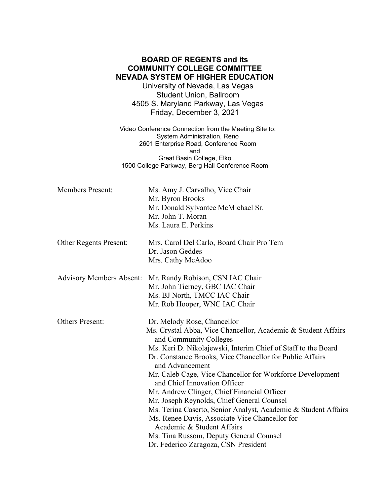## **BOARD OF REGENTS and its COMMUNITY COLLEGE COMMITTEE NEVADA SYSTEM OF HIGHER EDUCATION**

University of Nevada, Las Vegas Student Union, Ballroom 4505 S. Maryland Parkway, Las Vegas Friday, December 3, 2021

Video Conference Connection from the Meeting Site to: System Administration, Reno 2601 Enterprise Road, Conference Room and Great Basin College, Elko 1500 College Parkway, Berg Hall Conference Room

| <b>Members Present:</b>         | Ms. Amy J. Carvalho, Vice Chair<br>Mr. Byron Brooks<br>Mr. Donald Sylvantee McMichael Sr.<br>Mr. John T. Moran<br>Ms. Laura E. Perkins                                                                                                                                                                                                                                                                                                                                                                                                                                                                                                                                                                |
|---------------------------------|-------------------------------------------------------------------------------------------------------------------------------------------------------------------------------------------------------------------------------------------------------------------------------------------------------------------------------------------------------------------------------------------------------------------------------------------------------------------------------------------------------------------------------------------------------------------------------------------------------------------------------------------------------------------------------------------------------|
| <b>Other Regents Present:</b>   | Mrs. Carol Del Carlo, Board Chair Pro Tem<br>Dr. Jason Geddes<br>Mrs. Cathy McAdoo                                                                                                                                                                                                                                                                                                                                                                                                                                                                                                                                                                                                                    |
| <b>Advisory Members Absent:</b> | Mr. Randy Robison, CSN IAC Chair<br>Mr. John Tierney, GBC IAC Chair<br>Ms. BJ North, TMCC IAC Chair<br>Mr. Rob Hooper, WNC IAC Chair                                                                                                                                                                                                                                                                                                                                                                                                                                                                                                                                                                  |
| <b>Others Present:</b>          | Dr. Melody Rose, Chancellor<br>Ms. Crystal Abba, Vice Chancellor, Academic & Student Affairs<br>and Community Colleges<br>Ms. Keri D. Nikolajewski, Interim Chief of Staff to the Board<br>Dr. Constance Brooks, Vice Chancellor for Public Affairs<br>and Advancement<br>Mr. Caleb Cage, Vice Chancellor for Workforce Development<br>and Chief Innovation Officer<br>Mr. Andrew Clinger, Chief Financial Officer<br>Mr. Joseph Reynolds, Chief General Counsel<br>Ms. Terina Caserto, Senior Analyst, Academic & Student Affairs<br>Ms. Renee Davis, Associate Vice Chancellor for<br>Academic & Student Affairs<br>Ms. Tina Russom, Deputy General Counsel<br>Dr. Federico Zaragoza, CSN President |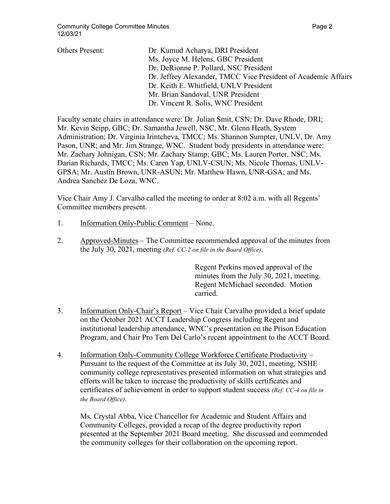| <b>Others Present:</b> | Dr. Kumud Acharya, DRI President                               |
|------------------------|----------------------------------------------------------------|
|                        | Ms. Joyce M. Helens, GBC President                             |
|                        | Dr. DeRionne P. Pollard, NSC President                         |
|                        | Dr. Jeffrey Alexander, TMCC Vice President of Academic Affairs |
|                        | Dr. Keith E. Whitfield, UNLV President                         |
|                        | Mr. Brian Sandoval, UNR President                              |
|                        | Dr. Vincent R. Solis, WNC President                            |
|                        |                                                                |

Faculty senate chairs in attendance were: Dr. Julian Smit, CSN; Dr. Dave Rhode, DRI; Mr. Kevin Seipp, GBC; Dr. Samantha Jewell, NSC, Mr. Glenn Heath, System Administration; Dr. Virginia Irintcheva, TMCC; Ms. Shannon Sumpter, UNLV, Dr. Amy Pason, UNR; and Mr. Jim Strange, WNC. Student body presidents in attendance were: Mr. Zachary Johnigan, CSN; Mr. Zachary Stamp; GBC; Ms. Lauren Porter, NSC; Ms. Darian Richards, TMCC; Ms. Caren Yap, UNLV-CSUN; Ms. Nicole Thomas, UNLV-GPSA; Mr. Austin Brown, UNR-ASUN; Mr. Matthew Hawn, UNR-GSA; and Ms. Andrea Sanchez De Loza, WNC.

Vice Chair Amy J. Carvalho called the meeting to order at 8:02 a.m. with all Regents' Committee members present.

- 1. Information Only-Public Comment None.
- 2. Approved-Minutes The Committee recommended approval of the minutes from the July 30, 2021, meeting *(Ref. CC-2 on file in the Board Office)*.

Regent Perkins moved approval of the minutes from the July 30, 2021, meeting. Regent McMichael seconded. Motion carried.

- 3. Information Only-Chair's Report Vice Chair Carvalho provided a brief update on the October 2021 ACCT Leadership Congress including Regent and institutional leadership attendance, WNC's presentation on the Prison Education Program, and Chair Pro Tem Del Carlo's recent appointment to the ACCT Board.
- 4. Information Only-Community College Workforce Certificate Productivity Pursuant to the request of the Committee at its July 30, 2021, meeting, NSHE community college representatives presented information on what strategies and efforts will be taken to increase the productivity of skills certificates and certificates of achievement in order to support student success *(Ref. CC-4 on file in the Board Office)*.

Ms. Crystal Abba, Vice Chancellor for Academic and Student Affairs and Community Colleges, provided a recap of the degree productivity report presented at the September 2021 Board meeting. She discussed and commended the community colleges for their collaboration on the upcoming report.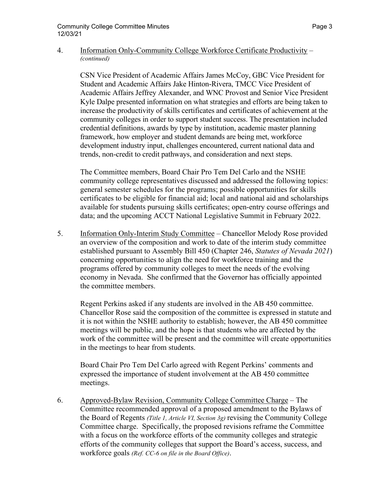## 4. Information Only-Community College Workforce Certificate Productivity – *(continued)*

CSN Vice President of Academic Affairs James McCoy, GBC Vice President for Student and Academic Affairs Jake Hinton-Rivera, TMCC Vice President of Academic Affairs Jeffrey Alexander, and WNC Provost and Senior Vice President Kyle Dalpe presented information on what strategies and efforts are being taken to increase the productivity of skills certificates and certificates of achievement at the community colleges in order to support student success. The presentation included credential definitions, awards by type by institution, academic master planning framework, how employer and student demands are being met, workforce development industry input, challenges encountered, current national data and trends, non-credit to credit pathways, and consideration and next steps.

The Committee members, Board Chair Pro Tem Del Carlo and the NSHE community college representatives discussed and addressed the following topics: general semester schedules for the programs; possible opportunities for skills certificates to be eligible for financial aid; local and national aid and scholarships available for students pursuing skills certificates; open-entry course offerings and data; and the upcoming ACCT National Legislative Summit in February 2022.

5. Information Only-Interim Study Committee – Chancellor Melody Rose provided an overview of the composition and work to date of the interim study committee established pursuant to Assembly Bill 450 (Chapter 246, *Statutes of Nevada 2021*) concerning opportunities to align the need for workforce training and the programs offered by community colleges to meet the needs of the evolving economy in Nevada. She confirmed that the Governor has officially appointed the committee members.

 Regent Perkins asked if any students are involved in the AB 450 committee. Chancellor Rose said the composition of the committee is expressed in statute and it is not within the NSHE authority to establish; however, the AB 450 committee meetings will be public, and the hope is that students who are affected by the work of the committee will be present and the committee will create opportunities in the meetings to hear from students.

 Board Chair Pro Tem Del Carlo agreed with Regent Perkins' comments and expressed the importance of student involvement at the AB 450 committee meetings.

6. Approved-Bylaw Revision, Community College Committee Charge – The Committee recommended approval of a proposed amendment to the Bylaws of the Board of Regents *(Title 1, Article VI, Section 3g)* revising the Community College Committee charge. Specifically, the proposed revisions reframe the Committee with a focus on the workforce efforts of the community colleges and strategic efforts of the community colleges that support the Board's access, success, and workforce goals *(Ref. CC-6 on file in the Board Office)*.